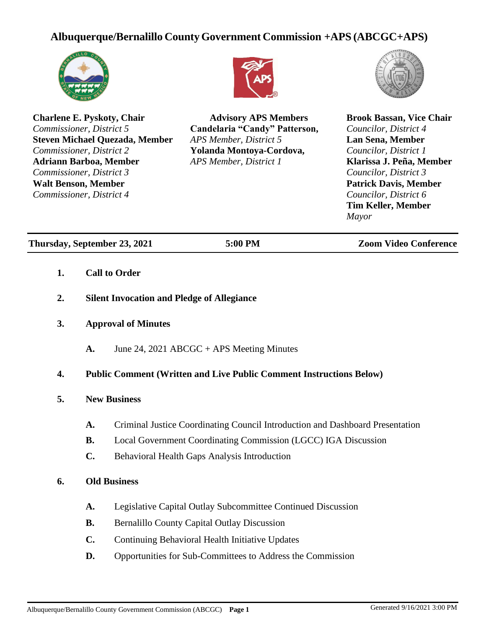# **Albuquerque/Bernalillo CountyGovernment Commission +APS (ABCGC+APS)**



**Charlene E. Pyskoty, Chair** *Commissioner, District 5* **Steven Michael Quezada, Member** *Commissioner, District 2* **Adriann Barboa, Member** *Commissioner, District 3* **Walt Benson, Member** *Commissioner, District 4*



**Advisory APS Members Candelaria "Candy" Patterson,** *APS Member, District 5* **Yolanda Montoya-Cordova,**  *APS Member, District 1*



**Brook Bassan, Vice Chair** *Councilor, District 4* **Lan Sena, Member** *Councilor, District 1* **Klarissa J. Peña, Member** *Councilor, District 3* **Patrick Davis, Member** *Councilor, District 6* **Tim Keller, Member** *Mayor*

**Thursday, September 23, 2021 5:00 PM Zoom Video Conference**

- **1. Call to Order**
- **2. Silent Invocation and Pledge of Allegiance**
- **3. Approval of Minutes**
	- **A.** June 24, 2021 ABCGC + APS Meeting Minutes

## **4. Public Comment (Written and Live Public Comment Instructions Below)**

- **5. New Business**
	- **A.** Criminal Justice Coordinating Council Introduction and Dashboard Presentation
	- **B.** Local Government Coordinating Commission (LGCC) IGA Discussion
	- **C.** Behavioral Health Gaps Analysis Introduction

### **6. Old Business**

- **A.** Legislative Capital Outlay Subcommittee Continued Discussion
- **B.** Bernalillo County Capital Outlay Discussion
- **C.** Continuing Behavioral Health Initiative Updates
- **D.** Opportunities for Sub-Committees to Address the Commission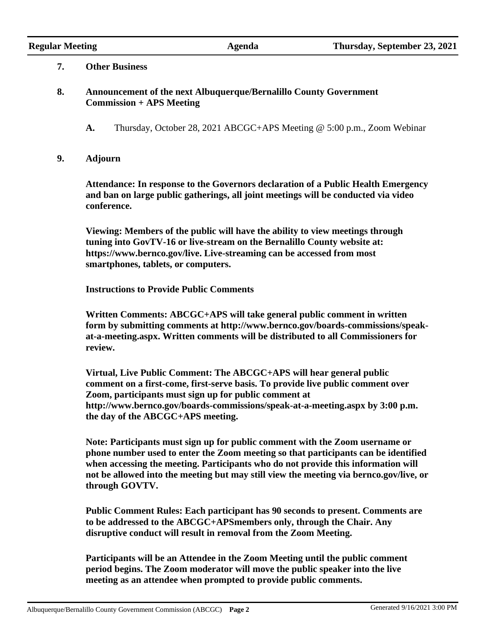### **7. Other Business**

# **8. Announcement of the next Albuquerque/Bernalillo County Government Commission + APS Meeting**

**A.** Thursday, October 28, 2021 ABCGC+APS Meeting @ 5:00 p.m., Zoom Webinar

### **9. Adjourn**

**Attendance: In response to the Governors declaration of a Public Health Emergency and ban on large public gatherings, all joint meetings will be conducted via video conference.**

**Viewing: Members of the public will have the ability to view meetings through tuning into GovTV-16 or live-stream on the Bernalillo County website at: https://www.bernco.gov/live. Live-streaming can be accessed from most smartphones, tablets, or computers.**

**Instructions to Provide Public Comments**

**Written Comments: ABCGC+APS will take general public comment in written form by submitting comments at http://www.bernco.gov/boards-commissions/speakat-a-meeting.aspx. Written comments will be distributed to all Commissioners for review.**

**Virtual, Live Public Comment: The ABCGC+APS will hear general public comment on a first-come, first-serve basis. To provide live public comment over Zoom, participants must sign up for public comment at http://www.bernco.gov/boards-commissions/speak-at-a-meeting.aspx by 3:00 p.m. the day of the ABCGC+APS meeting.**

**Note: Participants must sign up for public comment with the Zoom username or phone number used to enter the Zoom meeting so that participants can be identified when accessing the meeting. Participants who do not provide this information will not be allowed into the meeting but may still view the meeting via bernco.gov/live, or through GOVTV.**

**Public Comment Rules: Each participant has 90 seconds to present. Comments are to be addressed to the ABCGC+APSmembers only, through the Chair. Any disruptive conduct will result in removal from the Zoom Meeting.**

**Participants will be an Attendee in the Zoom Meeting until the public comment period begins. The Zoom moderator will move the public speaker into the live meeting as an attendee when prompted to provide public comments.**